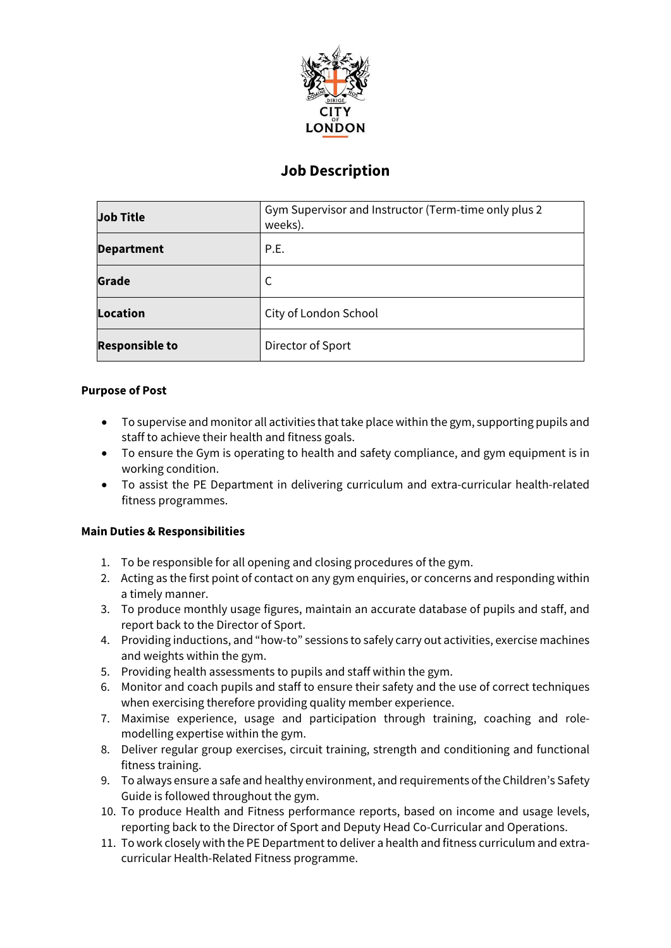

# **Job Description**

| <b>Job Title</b>      | Gym Supervisor and Instructor (Term-time only plus 2<br>weeks). |
|-----------------------|-----------------------------------------------------------------|
| <b>Department</b>     | P.E.                                                            |
| Grade                 | С                                                               |
| Location              | City of London School                                           |
| <b>Responsible to</b> | Director of Sport                                               |

# **Purpose of Post**

- To supervise and monitor all activities that take place within the gym, supporting pupils and staff to achieve their health and fitness goals.
- To ensure the Gym is operating to health and safety compliance, and gym equipment is in working condition.
- To assist the PE Department in delivering curriculum and extra-curricular health-related fitness programmes.

# **Main Duties & Responsibilities**

- 1. To be responsible for all opening and closing procedures of the gym.
- 2. Acting as the first point of contact on any gym enquiries, or concerns and responding within a timely manner.
- 3. To produce monthly usage figures, maintain an accurate database of pupils and staff, and report back to the Director of Sport.
- 4. Providing inductions, and "how-to" sessions to safely carry out activities, exercise machines and weights within the gym.
- 5. Providing health assessments to pupils and staff within the gym.
- 6. Monitor and coach pupils and staff to ensure their safety and the use of correct techniques when exercising therefore providing quality member experience.
- 7. Maximise experience, usage and participation through training, coaching and rolemodelling expertise within the gym.
- 8. Deliver regular group exercises, circuit training, strength and conditioning and functional fitness training.
- 9. To always ensure a safe and healthy environment, and requirements of the Children's Safety Guide is followed throughout the gym.
- 10. To produce Health and Fitness performance reports, based on income and usage levels, reporting back to the Director of Sport and Deputy Head Co-Curricular and Operations.
- 11. To work closely with the PE Department to deliver a health and fitness curriculum and extracurricular Health-Related Fitness programme.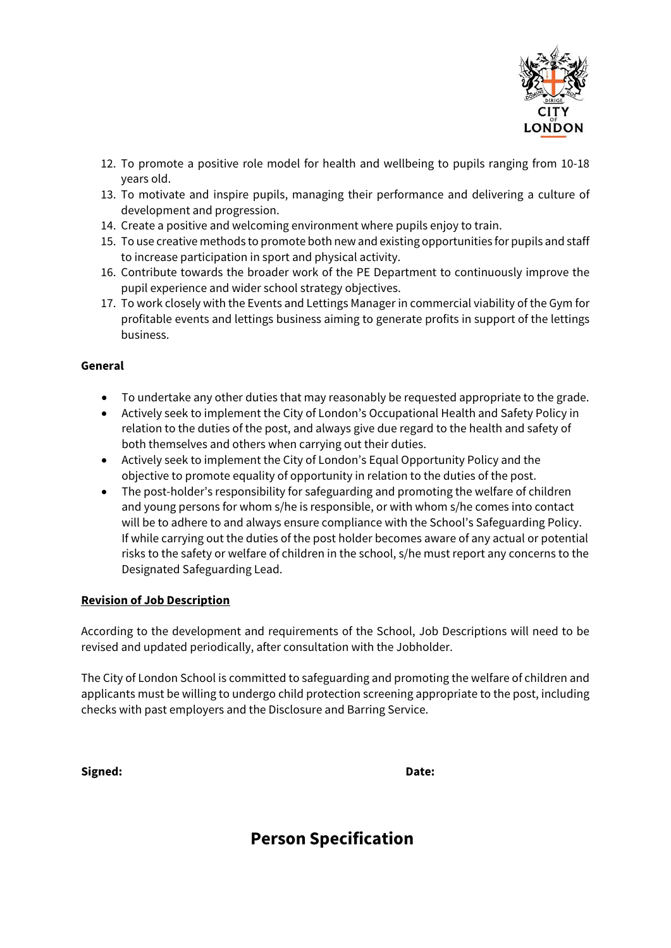

- 12. To promote a positive role model for health and wellbeing to pupils ranging from 10-18 years old.
- 13. To motivate and inspire pupils, managing their performance and delivering a culture of development and progression.
- 14. Create a positive and welcoming environment where pupils enjoy to train.
- 15. To use creative methods to promote both new and existing opportunities for pupils and staff to increase participation in sport and physical activity.
- 16. Contribute towards the broader work of the PE Department to continuously improve the pupil experience and wider school strategy objectives.
- 17. To work closely with the Events and Lettings Manager in commercial viability of the Gym for profitable events and lettings business aiming to generate profits in support of the lettings business.

# **General**

- To undertake any other duties that may reasonably be requested appropriate to the grade.
- Actively seek to implement the City of London's Occupational Health and Safety Policy in relation to the duties of the post, and always give due regard to the health and safety of both themselves and others when carrying out their duties.
- Actively seek to implement the City of London's Equal Opportunity Policy and the objective to promote equality of opportunity in relation to the duties of the post.
- The post-holder's responsibility for safeguarding and promoting the welfare of children and young persons for whom s/he is responsible, or with whom s/he comes into contact will be to adhere to and always ensure compliance with the School's Safeguarding Policy. If while carrying out the duties of the post holder becomes aware of any actual or potential risks to the safety or welfare of children in the school, s/he must report any concerns to the Designated Safeguarding Lead.

#### **Revision of Job Description**

According to the development and requirements of the School, Job Descriptions will need to be revised and updated periodically, after consultation with the Jobholder.

The City of London School is committed to safeguarding and promoting the welfare of children and applicants must be willing to undergo child protection screening appropriate to the post, including checks with past employers and the Disclosure and Barring Service.

**Signed: Date:**

# **Person Specification**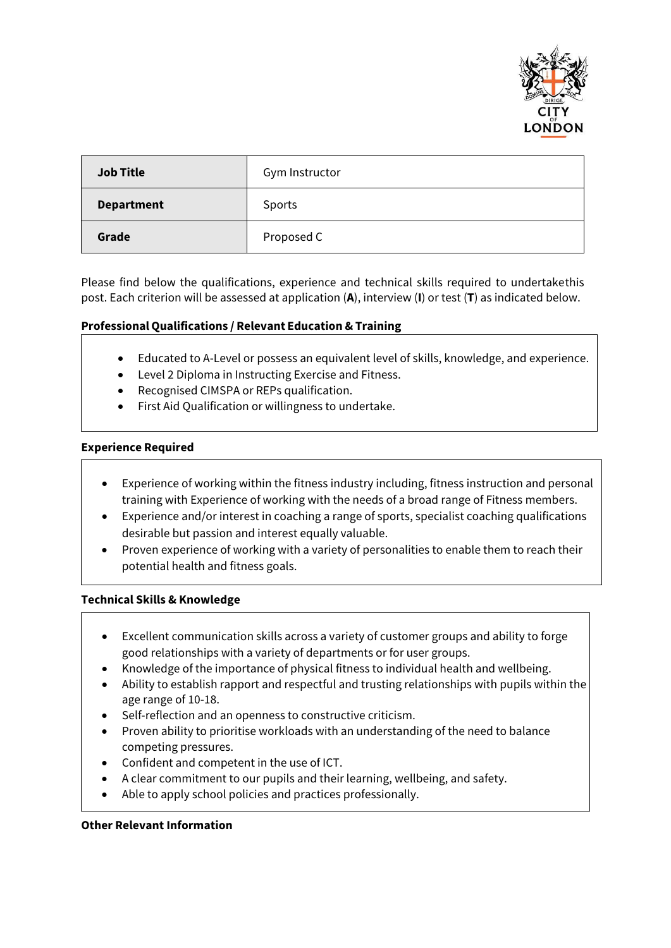

| <b>Job Title</b>  | Gym Instructor |
|-------------------|----------------|
| <b>Department</b> | Sports         |
| Grade             | Proposed C     |

Please find below the qualifications, experience and technical skills required to undertake this post. Each criterion will be assessed at application (**A**), interview (**I**) or test (**T**) as indicated below.

#### **Professional Qualifications / Relevant Education & Training**

- Educated to A-Level or possess an equivalent level of skills, knowledge, and experience.
- Level 2 Diploma in Instructing Exercise and Fitness.
- Recognised CIMSPA or REPs qualification.
- First Aid Qualification or willingness to undertake.

#### **Experience Required**

- Experience of working within the fitness industry including, fitness instruction and personal training with Experience of working with the needs of a broad range of Fitness members.
- Experience and/or interest in coaching a range of sports, specialist coaching qualifications desirable but passion and interest equally valuable.
- Proven experience of working with a variety of personalities to enable them to reach their potential health and fitness goals.

#### **Technical Skills & Knowledge**

- Excellent communication skills across a variety of customer groups and ability to forge good relationships with a variety of departments or for user groups.
- Knowledge of the importance of physical fitness to individual health and wellbeing.
- Ability to establish rapport and respectful and trusting relationships with pupils within the age range of 10-18.
- Self-reflection and an openness to constructive criticism.
- Proven ability to prioritise workloads with an understanding of the need to balance competing pressures.
- Confident and competent in the use of ICT.
- A clear commitment to our pupils and their learning, wellbeing, and safety.
- Able to apply school policies and practices professionally.

#### **Other Relevant Information**